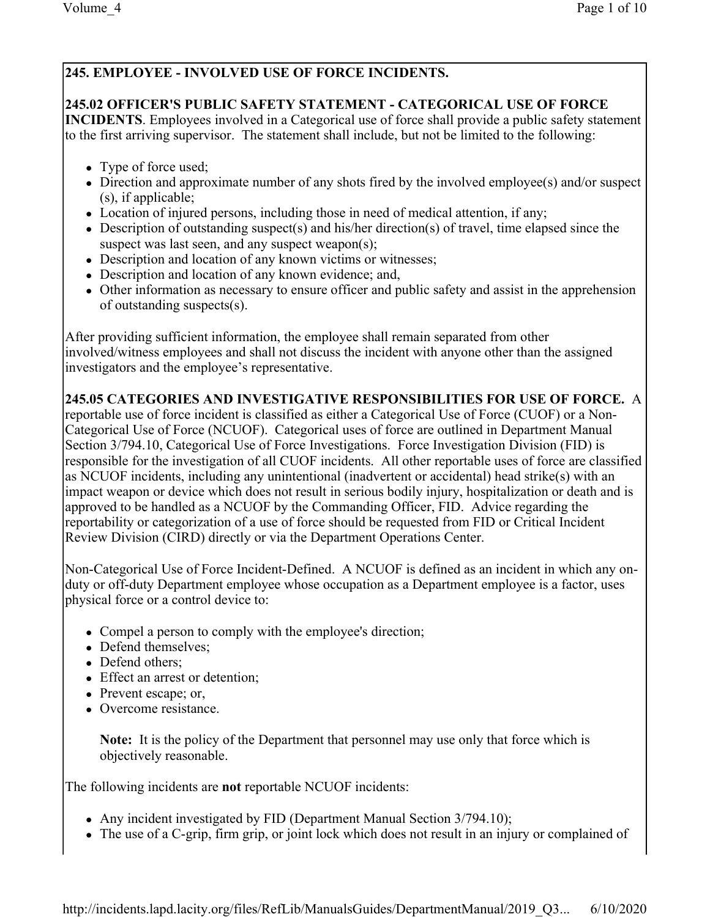# **245. EMPLOYEE - INVOLVED USE OF FORCE INCIDENTS.**

### **245.02 OFFICER'S PUBLIC SAFETY STATEMENT - CATEGORICAL USE OF FORCE**

**INCIDENTS**. Employees involved in a Categorical use of force shall provide a public safety statement to the first arriving supervisor. The statement shall include, but not be limited to the following:

- Type of force used;
- Direction and approximate number of any shots fired by the involved employee(s) and/or suspect (s), if applicable;
- Location of injured persons, including those in need of medical attention, if any;
- Description of outstanding suspect(s) and his/her direction(s) of travel, time elapsed since the suspect was last seen, and any suspect weapon(s);
- Description and location of any known victims or witnesses;
- Description and location of any known evidence; and,
- Other information as necessary to ensure officer and public safety and assist in the apprehension of outstanding suspects(s).

After providing sufficient information, the employee shall remain separated from other involved/witness employees and shall not discuss the incident with anyone other than the assigned investigators and the employee's representative.

# **245.05 CATEGORIES AND INVESTIGATIVE RESPONSIBILITIES FOR USE OF FORCE.** A

reportable use of force incident is classified as either a Categorical Use of Force (CUOF) or a Non-Categorical Use of Force (NCUOF). Categorical uses of force are outlined in Department Manual Section 3/794.10, Categorical Use of Force Investigations. Force Investigation Division (FID) is responsible for the investigation of all CUOF incidents. All other reportable uses of force are classified as NCUOF incidents, including any unintentional (inadvertent or accidental) head strike(s) with an impact weapon or device which does not result in serious bodily injury, hospitalization or death and is approved to be handled as a NCUOF by the Commanding Officer, FID. Advice regarding the reportability or categorization of a use of force should be requested from FID or Critical Incident Review Division (CIRD) directly or via the Department Operations Center.

Non-Categorical Use of Force Incident-Defined. A NCUOF is defined as an incident in which any onduty or off-duty Department employee whose occupation as a Department employee is a factor, uses physical force or a control device to:

- Compel a person to comply with the employee's direction;
- Defend themselves;
- Defend others:
- Effect an arrest or detention;
- Prevent escape; or,
- Overcome resistance.

**Note:** It is the policy of the Department that personnel may use only that force which is objectively reasonable.

The following incidents are **not** reportable NCUOF incidents:

- Any incident investigated by FID (Department Manual Section 3/794.10);
- The use of a C-grip, firm grip, or joint lock which does not result in an injury or complained of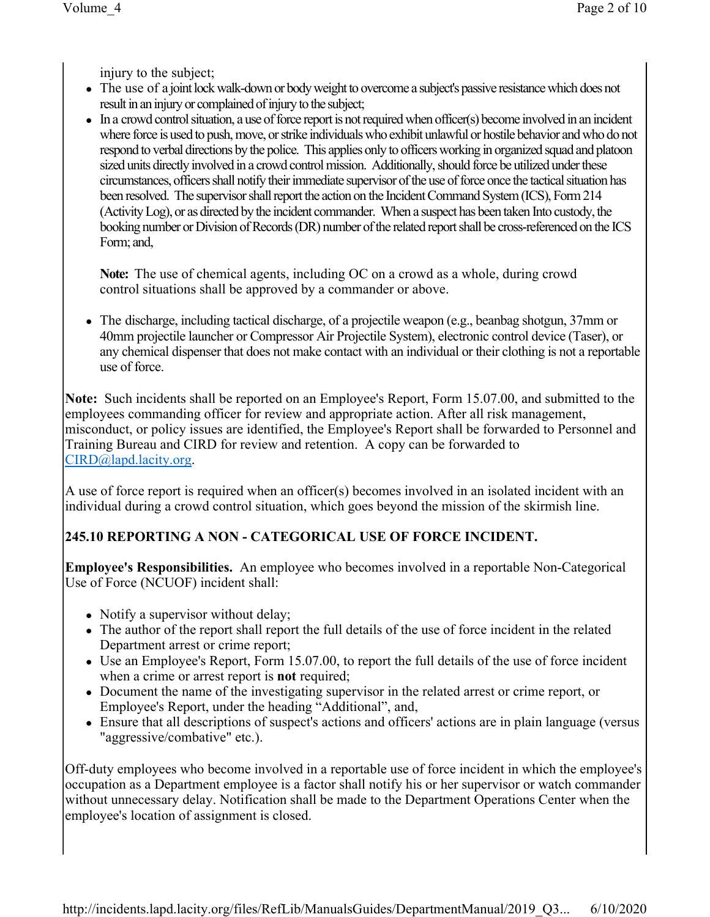injury to the subject;

- The use of a joint lock walk-down or body weight to overcome a subject's passive resistance which does not result in an injury or complained of injury to the subject;
- In a crowd control situation, a use of force report is not required when officer(s) become involved in an incident where force is used to push, move, or strike individuals who exhibit unlawful or hostile behavior and who do not respond to verbal directions by the police. This applies only to officers working in organized squad and platoon sized units directly involved in a crowd control mission. Additionally, should force be utilized under these circumstances, officersshall notify their immediate supervisor of the use of force once the tactical situation has been resolved. The supervisor shall report the action on the Incident Command System (ICS), Form 214 (Activity Log), or as directed by the incident commander. When a suspect has been taken Into custody, the booking number or Division of Records (DR) number of the related report shall be cross-referenced on the ICS Form; and,

**Note:** The use of chemical agents, including OC on a crowd as a whole, during crowd control situations shall be approved by a commander or above.

• The discharge, including tactical discharge, of a projectile weapon (e.g., beanbag shotgun, 37mm or 40mm projectile launcher or Compressor Air Projectile System), electronic control device (Taser), or any chemical dispenser that does not make contact with an individual or their clothing is not a reportable use of force.

**Note:** Such incidents shall be reported on an Employee's Report, Form 15.07.00, and submitted to the employees commanding officer for review and appropriate action. After all risk management, misconduct, or policy issues are identified, the Employee's Report shall be forwarded to Personnel and Training Bureau and CIRD for review and retention. A copy can be forwarded to CIRD@lapd.lacity.org.

A use of force report is required when an officer(s) becomes involved in an isolated incident with an individual during a crowd control situation, which goes beyond the mission of the skirmish line.

# **245.10 REPORTING A NON - CATEGORICAL USE OF FORCE INCIDENT.**

**Employee's Responsibilities.** An employee who becomes involved in a reportable Non-Categorical Use of Force (NCUOF) incident shall:

- Notify a supervisor without delay;
- The author of the report shall report the full details of the use of force incident in the related Department arrest or crime report;
- $\bullet$  Use an Employee's Report, Form 15.07.00, to report the full details of the use of force incident when a crime or arrest report is **not** required;
- Document the name of the investigating supervisor in the related arrest or crime report, or Employee's Report, under the heading "Additional", and,
- Ensure that all descriptions of suspect's actions and officers' actions are in plain language (versus "aggressive/combative" etc.).

Off-duty employees who become involved in a reportable use of force incident in which the employee's occupation as a Department employee is a factor shall notify his or her supervisor or watch commander without unnecessary delay. Notification shall be made to the Department Operations Center when the employee's location of assignment is closed.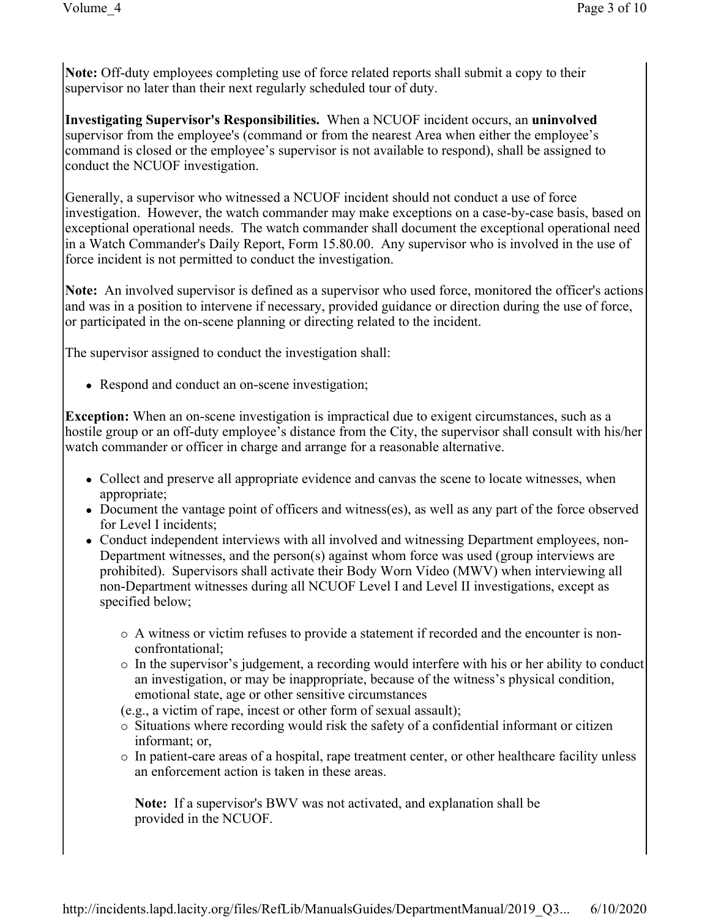**Note:** Off-duty employees completing use of force related reports shall submit a copy to their supervisor no later than their next regularly scheduled tour of duty.

**Investigating Supervisor's Responsibilities.** When a NCUOF incident occurs, an **uninvolved**  supervisor from the employee's (command or from the nearest Area when either the employee's command is closed or the employee's supervisor is not available to respond), shall be assigned to conduct the NCUOF investigation.

Generally, a supervisor who witnessed a NCUOF incident should not conduct a use of force investigation. However, the watch commander may make exceptions on a case-by-case basis, based on exceptional operational needs. The watch commander shall document the exceptional operational need in a Watch Commander's Daily Report, Form 15.80.00. Any supervisor who is involved in the use of force incident is not permitted to conduct the investigation.

**Note:** An involved supervisor is defined as a supervisor who used force, monitored the officer's actions and was in a position to intervene if necessary, provided guidance or direction during the use of force, or participated in the on-scene planning or directing related to the incident.

The supervisor assigned to conduct the investigation shall:

• Respond and conduct an on-scene investigation;

**Exception:** When an on-scene investigation is impractical due to exigent circumstances, such as a hostile group or an off-duty employee's distance from the City, the supervisor shall consult with his/her watch commander or officer in charge and arrange for a reasonable alternative.

- Collect and preserve all appropriate evidence and canvas the scene to locate witnesses, when appropriate;
- Document the vantage point of officers and witness(es), as well as any part of the force observed for Level I incidents;
- Conduct independent interviews with all involved and witnessing Department employees, non-Department witnesses, and the person(s) against whom force was used (group interviews are prohibited). Supervisors shall activate their Body Worn Video (MWV) when interviewing all non-Department witnesses during all NCUOF Level I and Level II investigations, except as specified below;
	- ¡ A witness or victim refuses to provide a statement if recorded and the encounter is nonconfrontational;
	- $\circ$  In the supervisor's judgement, a recording would interfere with his or her ability to conduct an investigation, or may be inappropriate, because of the witness's physical condition, emotional state, age or other sensitive circumstances

(e.g., a victim of rape, incest or other form of sexual assault);

- ¡ Situations where recording would risk the safety of a confidential informant or citizen informant; or,
- $\circ$  In patient-care areas of a hospital, rape treatment center, or other healthcare facility unless an enforcement action is taken in these areas.

**Note:** If a supervisor's BWV was not activated, and explanation shall be provided in the NCUOF.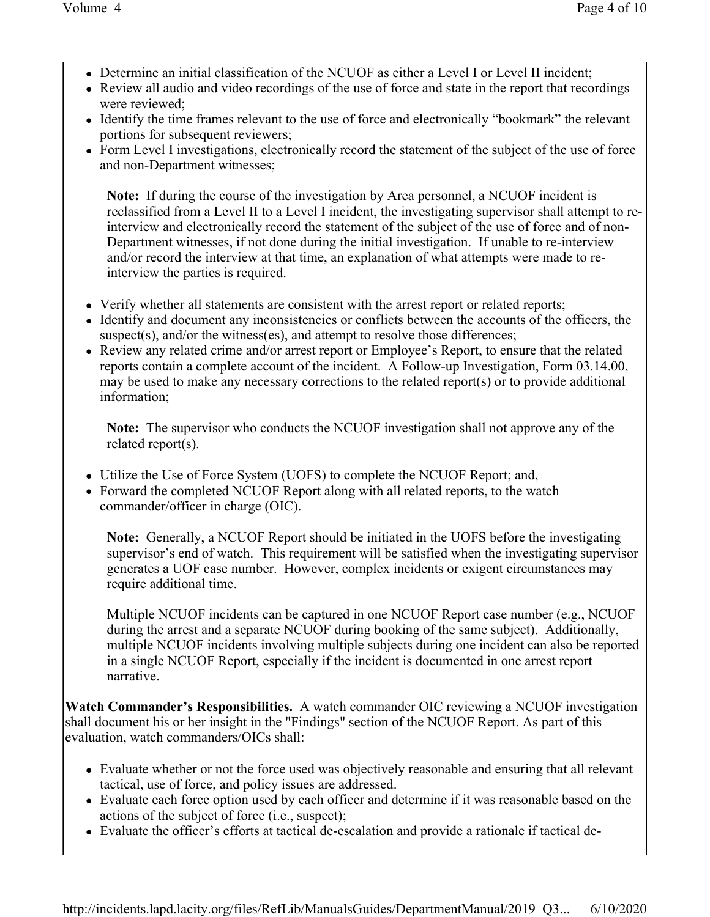- Determine an initial classification of the NCUOF as either a Level I or Level II incident;
- Review all audio and video recordings of the use of force and state in the report that recordings were reviewed;
- Identify the time frames relevant to the use of force and electronically "bookmark" the relevant portions for subsequent reviewers;
- Form Level I investigations, electronically record the statement of the subject of the use of force and non-Department witnesses;

**Note:** If during the course of the investigation by Area personnel, a NCUOF incident is reclassified from a Level II to a Level I incident, the investigating supervisor shall attempt to reinterview and electronically record the statement of the subject of the use of force and of non-Department witnesses, if not done during the initial investigation. If unable to re-interview and/or record the interview at that time, an explanation of what attempts were made to reinterview the parties is required.

- Verify whether all statements are consistent with the arrest report or related reports;
- Identify and document any inconsistencies or conflicts between the accounts of the officers, the suspect(s), and/or the witness(es), and attempt to resolve those differences;
- Review any related crime and/or arrest report or Employee's Report, to ensure that the related reports contain a complete account of the incident. A Follow-up Investigation, Form 03.14.00, may be used to make any necessary corrections to the related report(s) or to provide additional information;

**Note:** The supervisor who conducts the NCUOF investigation shall not approve any of the related report(s).

- Utilize the Use of Force System (UOFS) to complete the NCUOF Report; and,
- Forward the completed NCUOF Report along with all related reports, to the watch commander/officer in charge (OIC).

**Note:** Generally, a NCUOF Report should be initiated in the UOFS before the investigating supervisor's end of watch. This requirement will be satisfied when the investigating supervisor generates a UOF case number. However, complex incidents or exigent circumstances may require additional time.

Multiple NCUOF incidents can be captured in one NCUOF Report case number (e.g., NCUOF during the arrest and a separate NCUOF during booking of the same subject). Additionally, multiple NCUOF incidents involving multiple subjects during one incident can also be reported in a single NCUOF Report, especially if the incident is documented in one arrest report narrative.

**Watch Commander's Responsibilities.** A watch commander OIC reviewing a NCUOF investigation shall document his or her insight in the "Findings" section of the NCUOF Report. As part of this evaluation, watch commanders/OICs shall:

- Evaluate whether or not the force used was objectively reasonable and ensuring that all relevant tactical, use of force, and policy issues are addressed.
- Evaluate each force option used by each officer and determine if it was reasonable based on the actions of the subject of force (i.e., suspect);
- Evaluate the officer's efforts at tactical de-escalation and provide a rationale if tactical de-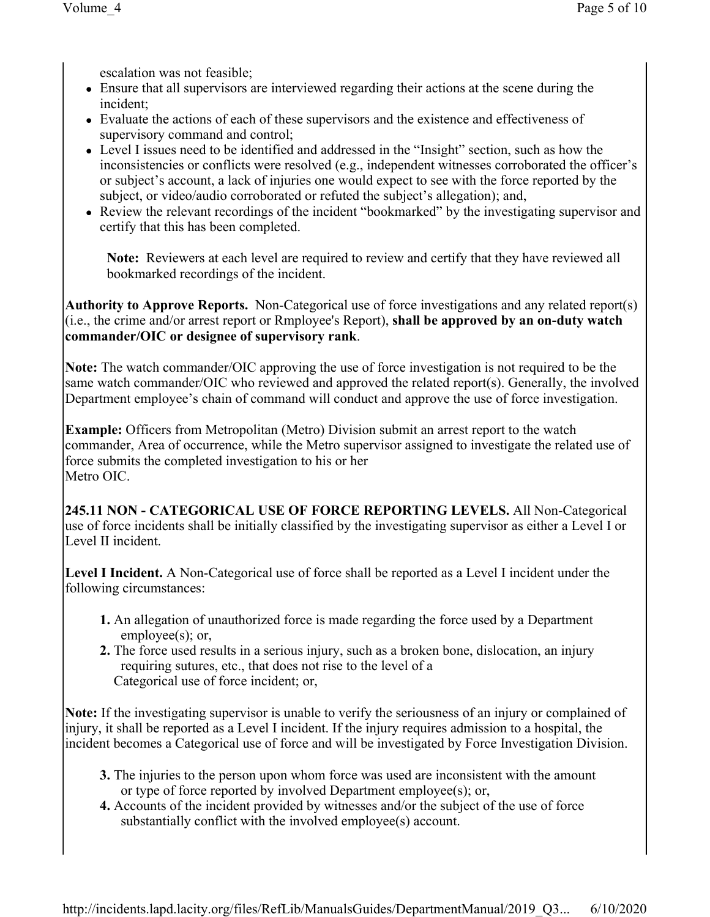escalation was not feasible;

- Ensure that all supervisors are interviewed regarding their actions at the scene during the incident;
- Evaluate the actions of each of these supervisors and the existence and effectiveness of supervisory command and control;
- Level I issues need to be identified and addressed in the "Insight" section, such as how the inconsistencies or conflicts were resolved (e.g., independent witnesses corroborated the officer's or subject's account, a lack of injuries one would expect to see with the force reported by the subject, or video/audio corroborated or refuted the subject's allegation); and,
- Review the relevant recordings of the incident "bookmarked" by the investigating supervisor and certify that this has been completed.

**Note:** Reviewers at each level are required to review and certify that they have reviewed all bookmarked recordings of the incident.

**Authority to Approve Reports.** Non-Categorical use of force investigations and any related report(s) (i.e., the crime and/or arrest report or Rmployee's Report), **shall be approved by an on-duty watch commander/OIC or designee of supervisory rank**.

**Note:** The watch commander/OIC approving the use of force investigation is not required to be the same watch commander/OIC who reviewed and approved the related report(s). Generally, the involved Department employee's chain of command will conduct and approve the use of force investigation.

**Example:** Officers from Metropolitan (Metro) Division submit an arrest report to the watch commander, Area of occurrence, while the Metro supervisor assigned to investigate the related use of force submits the completed investigation to his or her Metro OIC.

**245.11 NON - CATEGORICAL USE OF FORCE REPORTING LEVELS.** All Non-Categorical use of force incidents shall be initially classified by the investigating supervisor as either a Level I or Level II incident.

**Level I Incident.** A Non-Categorical use of force shall be reported as a Level I incident under the following circumstances:

- **1.** An allegation of unauthorized force is made regarding the force used by a Department employee(s); or,
- **2.** The force used results in a serious injury, such as a broken bone, dislocation, an injury requiring sutures, etc., that does not rise to the level of a Categorical use of force incident; or,

**Note:** If the investigating supervisor is unable to verify the seriousness of an injury or complained of injury, it shall be reported as a Level I incident. If the injury requires admission to a hospital, the incident becomes a Categorical use of force and will be investigated by Force Investigation Division.

- **3.** The injuries to the person upon whom force was used are inconsistent with the amount or type of force reported by involved Department employee(s); or,
- **4.** Accounts of the incident provided by witnesses and/or the subject of the use of force substantially conflict with the involved employee(s) account.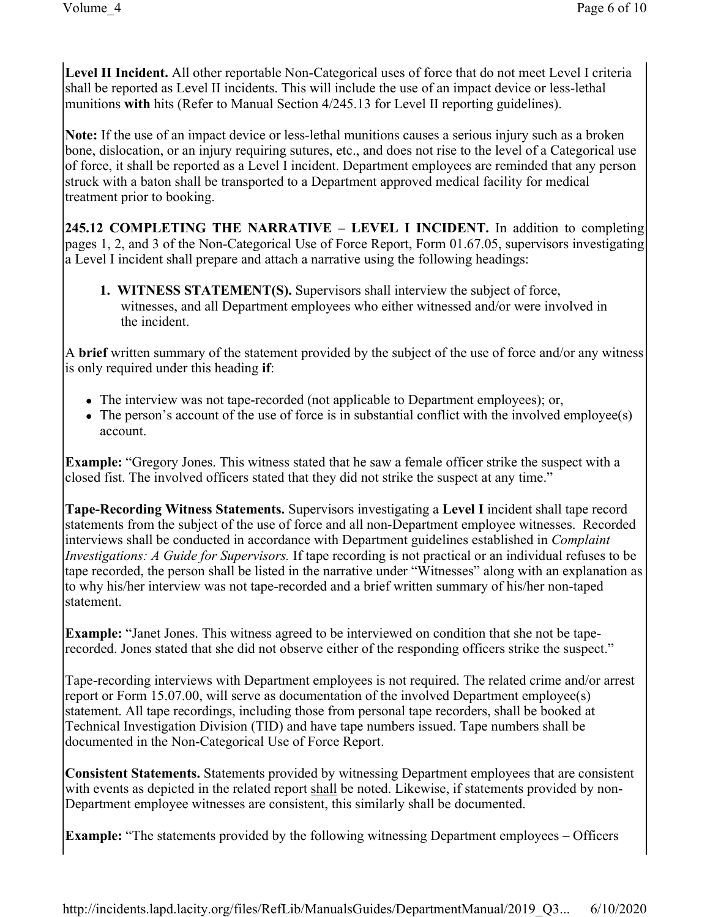**Level II Incident.** All other reportable Non-Categorical uses of force that do not meet Level I criteria shall be reported as Level II incidents. This will include the use of an impact device or less-lethal munitions **with** hits (Refer to Manual Section 4/245.13 for Level II reporting guidelines).

**Note:** If the use of an impact device or less-lethal munitions causes a serious injury such as a broken bone, dislocation, or an injury requiring sutures, etc., and does not rise to the level of a Categorical use of force, it shall be reported as a Level I incident. Department employees are reminded that any person struck with a baton shall be transported to a Department approved medical facility for medical treatment prior to booking.

**245.12 COMPLETING THE NARRATIVE – LEVEL I INCIDENT.** In addition to completing pages 1, 2, and 3 of the Non-Categorical Use of Force Report, Form 01.67.05, supervisors investigating a Level I incident shall prepare and attach a narrative using the following headings:

**1. WITNESS STATEMENT(S).** Supervisors shall interview the subject of force, witnesses, and all Department employees who either witnessed and/or were involved in the incident.

A **brief** written summary of the statement provided by the subject of the use of force and/or any witness is only required under this heading **if**:

- The interview was not tape-recorded (not applicable to Department employees); or,
- The person's account of the use of force is in substantial conflict with the involved employee(s) account.

**Example:** "Gregory Jones. This witness stated that he saw a female officer strike the suspect with a closed fist. The involved officers stated that they did not strike the suspect at any time."

**Tape-Recording Witness Statements.** Supervisors investigating a **Level I** incident shall tape record statements from the subject of the use of force and all non-Department employee witnesses. Recorded interviews shall be conducted in accordance with Department guidelines established in *Complaint Investigations: A Guide for Supervisors.* If tape recording is not practical or an individual refuses to be tape recorded, the person shall be listed in the narrative under "Witnesses" along with an explanation as to why his/her interview was not tape-recorded and a brief written summary of his/her non-taped statement.

**Example:** "Janet Jones. This witness agreed to be interviewed on condition that she not be taperecorded. Jones stated that she did not observe either of the responding officers strike the suspect."

Tape-recording interviews with Department employees is not required. The related crime and/or arrest report or Form 15.07.00, will serve as documentation of the involved Department employee(s) statement. All tape recordings, including those from personal tape recorders, shall be booked at Technical Investigation Division (TID) and have tape numbers issued. Tape numbers shall be documented in the Non-Categorical Use of Force Report.

**Consistent Statements.** Statements provided by witnessing Department employees that are consistent with events as depicted in the related report shall be noted. Likewise, if statements provided by non-Department employee witnesses are consistent, this similarly shall be documented.

**Example:** "The statements provided by the following witnessing Department employees – Officers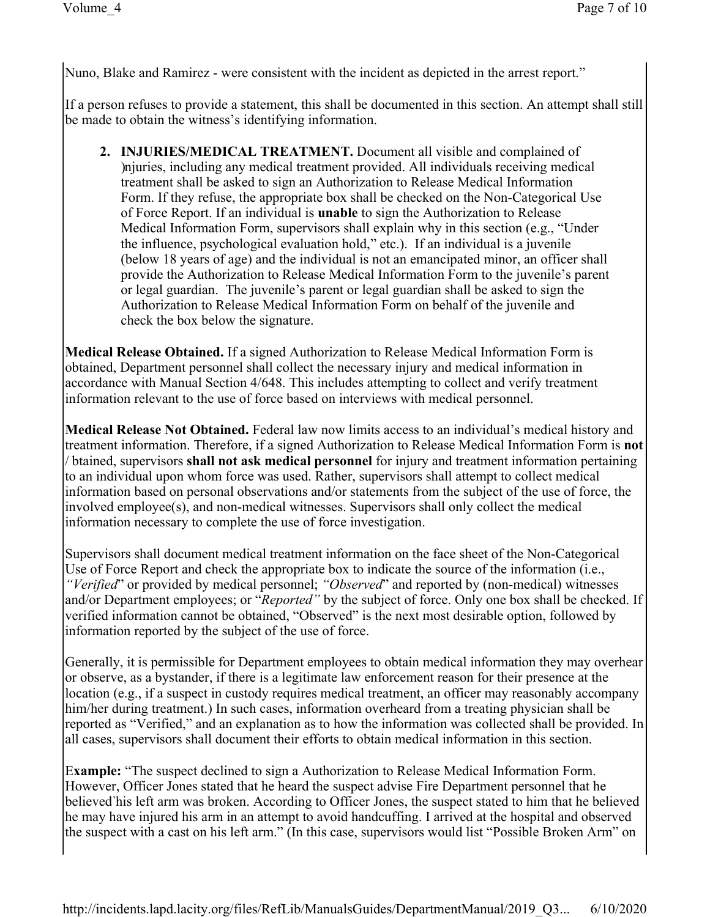Nuno, Blake and Ramirez - were consistent with the incident as depicted in the arrest report."

If a person refuses to provide a statement, this shall be documented in this section. An attempt shall still be made to obtain the witness's identifying information.

**2. INJURIES/MEDICAL TREATMENT.** Document all visible and complained of )njuries, including any medical treatment provided. All individuals receiving medical treatment shall be asked to sign an Authorization to Release Medical Information Form. If they refuse, the appropriate box shall be checked on the Non-Categorical Use of Force Report. If an individual is **unable** to sign the Authorization to Release Medical Information Form, supervisors shall explain why in this section (e.g., "Under the influence, psychological evaluation hold," etc.). If an individual is a juvenile (below 18 years of age) and the individual is not an emancipated minor, an officer shall provide the Authorization to Release Medical Information Form to the juvenile's parent or legal guardian. The juvenile's parent or legal guardian shall be asked to sign the Authorization to Release Medical Information Form on behalf of the juvenile and check the box below the signature.

**Medical Release Obtained.** If a signed Authorization to Release Medical Information Form is obtained, Department personnel shall collect the necessary injury and medical information in accordance with Manual Section 4/648. This includes attempting to collect and verify treatment information relevant to the use of force based on interviews with medical personnel.

**Medical Release Not Obtained.** Federal law now limits access to an individual's medical history and treatment information. Therefore, if a signed Authorization to Release Medical Information Form is **not** / btained, supervisors **shall not ask medical personnel** for injury and treatment information pertaining to an individual upon whom force was used. Rather, supervisors shall attempt to collect medical information based on personal observations and/or statements from the subject of the use of force, the involved employee(s), and non-medical witnesses. Supervisors shall only collect the medical information necessary to complete the use of force investigation.

Supervisors shall document medical treatment information on the face sheet of the Non-Categorical Use of Force Report and check the appropriate box to indicate the source of the information (i.e., *"Verified*" or provided by medical personnel; *"Observed*" and reported by (non-medical) witnesses and/or Department employees; or "*Reported"* by the subject of force. Only one box shall be checked. If verified information cannot be obtained, "Observed" is the next most desirable option, followed by information reported by the subject of the use of force.

Generally, it is permissible for Department employees to obtain medical information they may overhear or observe, as a bystander, if there is a legitimate law enforcement reason for their presence at the location (e.g., if a suspect in custody requires medical treatment, an officer may reasonably accompany him/her during treatment.) In such cases, information overheard from a treating physician shall be reported as "Verified," and an explanation as to how the information was collected shall be provided. In all cases, supervisors shall document their efforts to obtain medical information in this section.

E**xample:** "The suspect declined to sign a Authorization to Release Medical Information Form. However, Officer Jones stated that he heard the suspect advise Fire Department personnel that he believed`his left arm was broken. According to Officer Jones, the suspect stated to him that he believed he may have injured his arm in an attempt to avoid handcuffing. I arrived at the hospital and observed the suspect with a cast on his left arm." (In this case, supervisors would list "Possible Broken Arm" on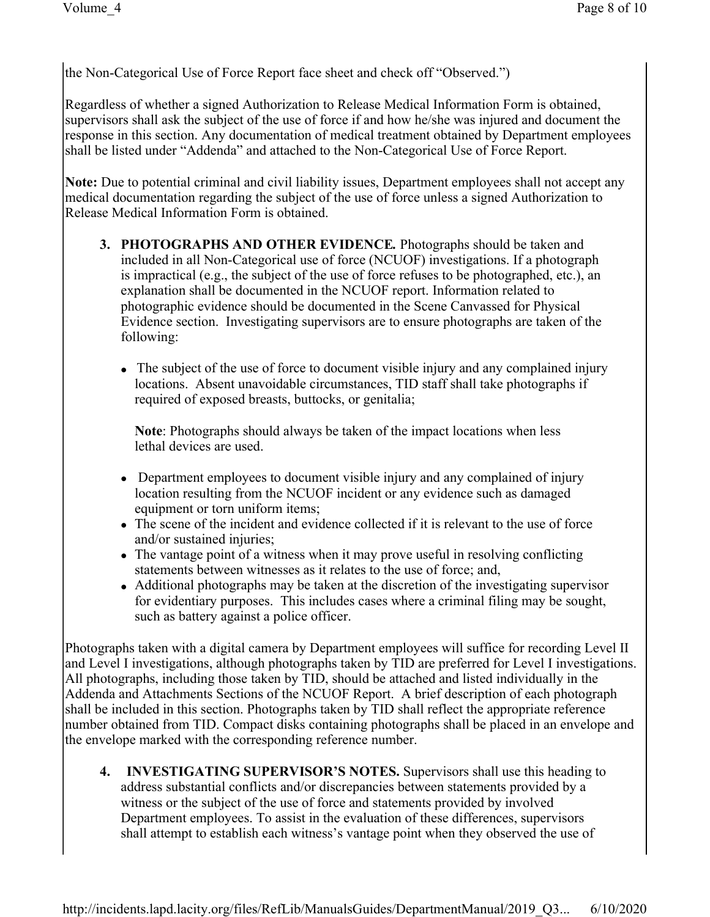the Non-Categorical Use of Force Report face sheet and check off "Observed.")

Regardless of whether a signed Authorization to Release Medical Information Form is obtained, supervisors shall ask the subject of the use of force if and how he/she was injured and document the response in this section. Any documentation of medical treatment obtained by Department employees shall be listed under "Addenda" and attached to the Non-Categorical Use of Force Report.

**Note:** Due to potential criminal and civil liability issues, Department employees shall not accept any medical documentation regarding the subject of the use of force unless a signed Authorization to Release Medical Information Form is obtained.

- **3. PHOTOGRAPHS AND OTHER EVIDENCE***.* Photographs should be taken and included in all Non-Categorical use of force (NCUOF) investigations. If a photograph is impractical (e.g., the subject of the use of force refuses to be photographed, etc.), an explanation shall be documented in the NCUOF report. Information related to photographic evidence should be documented in the Scene Canvassed for Physical Evidence section. Investigating supervisors are to ensure photographs are taken of the following:
	- The subject of the use of force to document visible injury and any complained injury locations. Absent unavoidable circumstances, TID staff shall take photographs if required of exposed breasts, buttocks, or genitalia;

**Note**: Photographs should always be taken of the impact locations when less lethal devices are used.

- Department employees to document visible injury and any complained of injury location resulting from the NCUOF incident or any evidence such as damaged equipment or torn uniform items;
- The scene of the incident and evidence collected if it is relevant to the use of force and/or sustained injuries;
- The vantage point of a witness when it may prove useful in resolving conflicting statements between witnesses as it relates to the use of force; and,
- Additional photographs may be taken at the discretion of the investigating supervisor for evidentiary purposes. This includes cases where a criminal filing may be sought, such as battery against a police officer.

Photographs taken with a digital camera by Department employees will suffice for recording Level II and Level I investigations, although photographs taken by TID are preferred for Level I investigations. All photographs, including those taken by TID, should be attached and listed individually in the Addenda and Attachments Sections of the NCUOF Report. A brief description of each photograph shall be included in this section. Photographs taken by TID shall reflect the appropriate reference number obtained from TID. Compact disks containing photographs shall be placed in an envelope and the envelope marked with the corresponding reference number.

**4. INVESTIGATING SUPERVISOR'S NOTES.** Supervisors shall use this heading to address substantial conflicts and/or discrepancies between statements provided by a witness or the subject of the use of force and statements provided by involved Department employees. To assist in the evaluation of these differences, supervisors shall attempt to establish each witness's vantage point when they observed the use of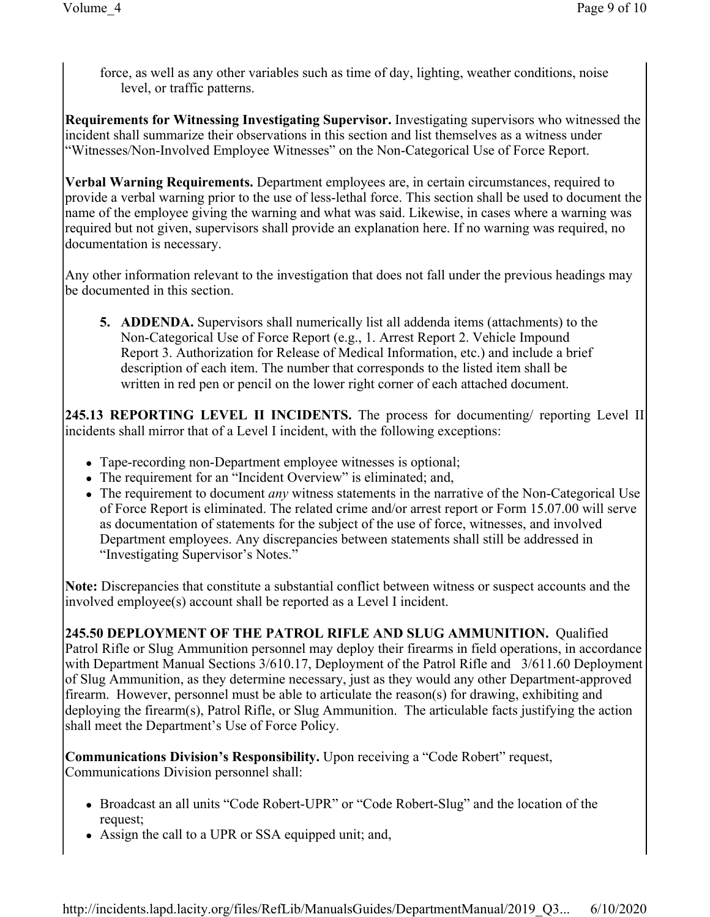force, as well as any other variables such as time of day, lighting, weather conditions, noise level, or traffic patterns.

**Requirements for Witnessing Investigating Supervisor.** Investigating supervisors who witnessed the incident shall summarize their observations in this section and list themselves as a witness under "Witnesses/Non-Involved Employee Witnesses" on the Non-Categorical Use of Force Report.

**Verbal Warning Requirements.** Department employees are, in certain circumstances, required to provide a verbal warning prior to the use of less-lethal force. This section shall be used to document the name of the employee giving the warning and what was said. Likewise, in cases where a warning was required but not given, supervisors shall provide an explanation here. If no warning was required, no documentation is necessary.

Any other information relevant to the investigation that does not fall under the previous headings may be documented in this section.

**5. ADDENDA.** Supervisors shall numerically list all addenda items (attachments) to the Non-Categorical Use of Force Report (e.g., 1. Arrest Report 2. Vehicle Impound Report 3. Authorization for Release of Medical Information, etc.) and include a brief description of each item. The number that corresponds to the listed item shall be written in red pen or pencil on the lower right corner of each attached document.

**245.13 REPORTING LEVEL II INCIDENTS.** The process for documenting/ reporting Level II incidents shall mirror that of a Level I incident, with the following exceptions:

- Tape-recording non-Department employee witnesses is optional;
- The requirement for an "Incident Overview" is eliminated; and,
- The requirement to document *any* witness statements in the narrative of the Non-Categorical Use of Force Report is eliminated. The related crime and/or arrest report or Form 15.07.00 will serve as documentation of statements for the subject of the use of force, witnesses, and involved Department employees. Any discrepancies between statements shall still be addressed in "Investigating Supervisor's Notes."

**Note:** Discrepancies that constitute a substantial conflict between witness or suspect accounts and the involved employee(s) account shall be reported as a Level I incident.

**245.50 DEPLOYMENT OF THE PATROL RIFLE AND SLUG AMMUNITION.** Qualified Patrol Rifle or Slug Ammunition personnel may deploy their firearms in field operations, in accordance with Department Manual Sections 3/610.17, Deployment of the Patrol Rifle and 3/611.60 Deployment of Slug Ammunition, as they determine necessary, just as they would any other Department-approved firearm. However, personnel must be able to articulate the reason(s) for drawing, exhibiting and deploying the firearm(s), Patrol Rifle, or Slug Ammunition. The articulable facts justifying the action shall meet the Department's Use of Force Policy.

**Communications Division's Responsibility.** Upon receiving a "Code Robert" request, Communications Division personnel shall:

- Broadcast an all units "Code Robert-UPR" or "Code Robert-Slug" and the location of the request;
- Assign the call to a UPR or SSA equipped unit; and,